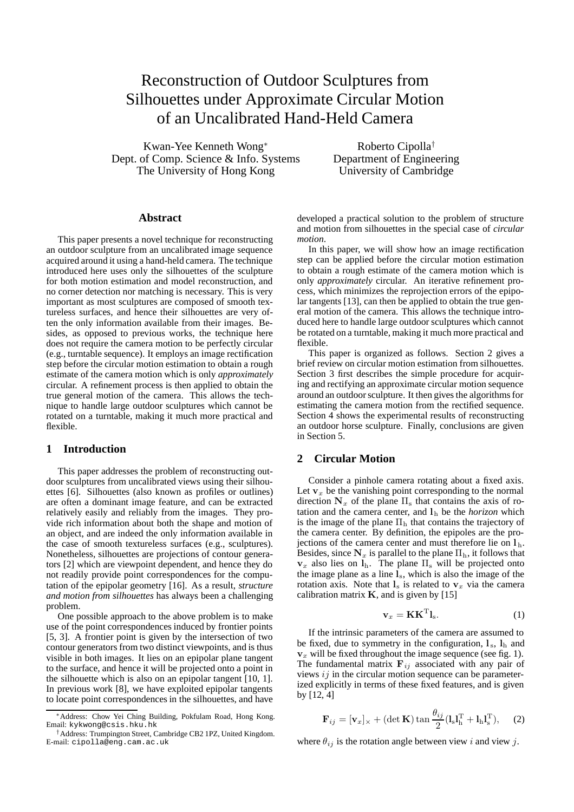# Reconstruction of Outdoor Sculptures from Silhouettes under Approximate Circular Motion of an Uncalibrated Hand-Held Camera

Kwan-Yee Kenneth Wong<sup>∗</sup> Dept. of Comp. Science & Info. Systems The University of Hong Kong

Roberto Cipolla† Department of Engineering University of Cambridge

#### **Abstract**

This paper presents a novel technique for reconstructing an outdoor sculpture from an uncalibrated image sequence acquired around it using a hand-held camera. The technique introduced here uses only the silhouettes of the sculpture for both motion estimation and model reconstruction, and no corner detection nor matching is necessary. This is very important as most sculptures are composed of smooth textureless surfaces, and hence their silhouettes are very often the only information available from their images. Besides, as opposed to previous works, the technique here does not require the camera motion to be perfectly circular (e.g., turntable sequence). It employs an image rectification step before the circular motion estimation to obtain a rough estimate of the camera motion which is only *approximately* circular. A refinement process is then applied to obtain the true general motion of the camera. This allows the technique to handle large outdoor sculptures which cannot be rotated on a turntable, making it much more practical and flexible.

### **1 Introduction**

This paper addresses the problem of reconstructing outdoor sculptures from uncalibrated views using their silhouettes [6]. Silhouettes (also known as profiles or outlines) are often a dominant image feature, and can be extracted relatively easily and reliably from the images. They provide rich information about both the shape and motion of an object, and are indeed the only information available in the case of smooth textureless surfaces (e.g., sculptures). Nonetheless, silhouettes are projections of contour generators [2] which are viewpoint dependent, and hence they do not readily provide point correspondences for the computation of the epipolar geometry [16]. As a result, *structure and motion from silhouettes* has always been a challenging problem.

One possible approach to the above problem is to make use of the point correspondences induced by frontier points [5, 3]. A frontier point is given by the intersection of two contour generators from two distinct viewpoints, and is thus visible in both images. It lies on an epipolar plane tangent to the surface, and hence it will be projected onto a point in the silhouette which is also on an epipolar tangent [10, 1]. In previous work [8], we have exploited epipolar tangents to locate point correspondences in the silhouettes, and have developed a practical solution to the problem of structure and motion from silhouettes in the special case of *circular motion*.

In this paper, we will show how an image rectification step can be applied before the circular motion estimation to obtain a rough estimate of the camera motion which is only *approximately* circular. An iterative refinement process, which minimizes the reprojection errors of the epipolar tangents [13], can then be applied to obtain the true general motion of the camera. This allows the technique introduced here to handle large outdoor sculptures which cannot be rotated on a turntable, making it much more practical and flexible.

This paper is organized as follows. Section 2 gives a brief review on circular motion estimation from silhouettes. Section 3 first describes the simple procedure for acquiring and rectifying an approximate circular motion sequence around an outdoor sculpture. It then gives the algorithms for estimating the camera motion from the rectified sequence. Section 4 shows the experimental results of reconstructing an outdoor horse sculpture. Finally, conclusions are given in Section 5.

## **2 Circular Motion**

Consider a pinhole camera rotating about a fixed axis. Let  $\mathbf{v}_x$  be the vanishing point corresponding to the normal direction  $N_x$  of the plane  $\Pi_s$  that contains the axis of rotation and the camera center, and  $l<sub>h</sub>$  be the *horizon* which is the image of the plane  $\Pi_h$  that contains the trajectory of the camera center. By definition, the epipoles are the projections of the camera center and must therefore lie on **l** <sup>h</sup>. Besides, since  $N_x$  is parallel to the plane  $\Pi_h$ , it follows that  $v_x$  also lies on  $l_h$ . The plane  $\Pi_s$  will be projected onto the image plane as a line **l**s, which is also the image of the rotation axis. Note that  $l_s$  is related to  $v_x$  via the camera calibration matrix **K**, and is given by [15]

$$
\mathbf{v}_x = \mathbf{K} \mathbf{K}^{\mathrm{T}} \mathbf{l}_s. \tag{1}
$$

If the intrinsic parameters of the camera are assumed to be fixed, due to symmetry in the configuration,  $l_s$ ,  $l_h$  and  **will be fixed throughout the image sequence (see fig. 1).** The fundamental matrix  $\mathbf{F}_{ij}$  associated with any pair of views  $ij$  in the circular motion sequence can be parameterized explicitly in terms of these fixed features, and is given by [12, 4]

$$
\mathbf{F}_{ij} = [\mathbf{v}_x]_{\times} + (\det \mathbf{K}) \tan \frac{\theta_{ij}}{2} (\mathbf{l}_s \mathbf{l}_h^{\mathrm{T}} + \mathbf{l}_h \mathbf{l}_s^{\mathrm{T}}), \quad (2)
$$

where  $\theta_{ij}$  is the rotation angle between view i and view j.

<sup>∗</sup>Address: Chow Yei Ching Building, Pokfulam Road, Hong Kong. Email: kykwong@csis.hku.hk

<sup>†</sup>Address: Trumpington Street, Cambridge CB2 1PZ, United Kingdom. E-mail: cipolla@eng.cam.ac.uk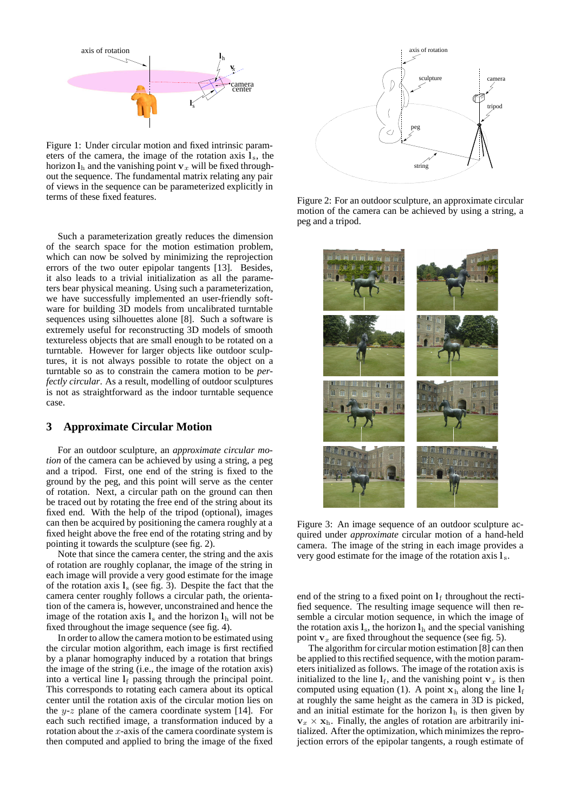

Figure 1: Under circular motion and fixed intrinsic parameters of the camera, the image of the rotation axis  $\mathbf{l}_s$ , the horizon  $\mathbf{l}_h$  and the vanishing point  $\mathbf{v}_x$  will be fixed throughout the sequence. The fundamental matrix relating any pair of views in the sequence can be parameterized explicitly in terms of these fixed features.

Such a parameterization greatly reduces the dimension of the search space for the motion estimation problem, which can now be solved by minimizing the reprojection errors of the two outer epipolar tangents [13]. Besides, it also leads to a trivial initialization as all the parameters bear physical meaning. Using such a parameterization, we have successfully implemented an user-friendly software for building 3D models from uncalibrated turntable sequences using silhouettes alone [8]. Such a software is extremely useful for reconstructing 3D models of smooth textureless objects that are small enough to be rotated on a turntable. However for larger objects like outdoor sculptures, it is not always possible to rotate the object on a turntable so as to constrain the camera motion to be *perfectly circular*. As a result, modelling of outdoor sculptures is not as straightforward as the indoor turntable sequence case.

#### **3 Approximate Circular Motion**

For an outdoor sculpture, an *approximate circular motion* of the camera can be achieved by using a string, a peg and a tripod. First, one end of the string is fixed to the ground by the peg, and this point will serve as the center of rotation. Next, a circular path on the ground can then be traced out by rotating the free end of the string about its fixed end. With the help of the tripod (optional), images can then be acquired by positioning the camera roughly at a fixed height above the free end of the rotating string and by pointing it towards the sculpture (see fig. 2).

Note that since the camera center, the string and the axis of rotation are roughly coplanar, the image of the string in each image will provide a very good estimate for the image of the rotation axis **l**<sup>s</sup> (see fig. 3). Despite the fact that the camera center roughly follows a circular path, the orientation of the camera is, however, unconstrained and hence the image of the rotation axis  $l_s$  and the horizon  $l_h$  will not be fixed throughout the image sequence (see fig. 4).

In order to allow the camera motion to be estimated using the circular motion algorithm, each image is first rectified by a planar homography induced by a rotation that brings the image of the string (i.e., the image of the rotation axis) into a vertical line  $l_f$  passing through the principal point. This corresponds to rotating each camera about its optical center until the rotation axis of the circular motion lies on the  $y-z$  plane of the camera coordinate system [14]. For each such rectified image, a transformation induced by a rotation about the  $x$ -axis of the camera coordinate system is then computed and applied to bring the image of the fixed



Figure 2: For an outdoor sculpture, an approximate circular motion of the camera can be achieved by using a string, a peg and a tripod.



Figure 3: An image sequence of an outdoor sculpture acquired under *approximate* circular motion of a hand-held camera. The image of the string in each image provides a very good estimate for the image of the rotation axis **l** <sup>s</sup>.

end of the string to a fixed point on  $l_f$  throughout the rectified sequence. The resulting image sequence will then resemble a circular motion sequence, in which the image of the rotation axis  $\mathbf{l}_s$ , the horizon  $\mathbf{l}_h$  and the special vanishing point  $v_x$  are fixed throughout the sequence (see fig. 5).

The algorithm for circular motion estimation [8] can then be applied to this rectified sequence, with the motion parameters initialized as follows. The image of the rotation axis is initialized to the line  $\mathbf{l}_f$ , and the vanishing point  $\mathbf{v}_x$  is then computed using equation (1). A point  $\mathbf{x}_h$  along the line  $\mathbf{l}_f$ at roughly the same height as the camera in 3D is picked, and an initial estimate for the horizon  $l<sub>h</sub>$  is then given by  $\mathbf{v}_x \times \mathbf{x}_h$ . Finally, the angles of rotation are arbitrarily initialized. After the optimization, which minimizes the reprojection errors of the epipolar tangents, a rough estimate of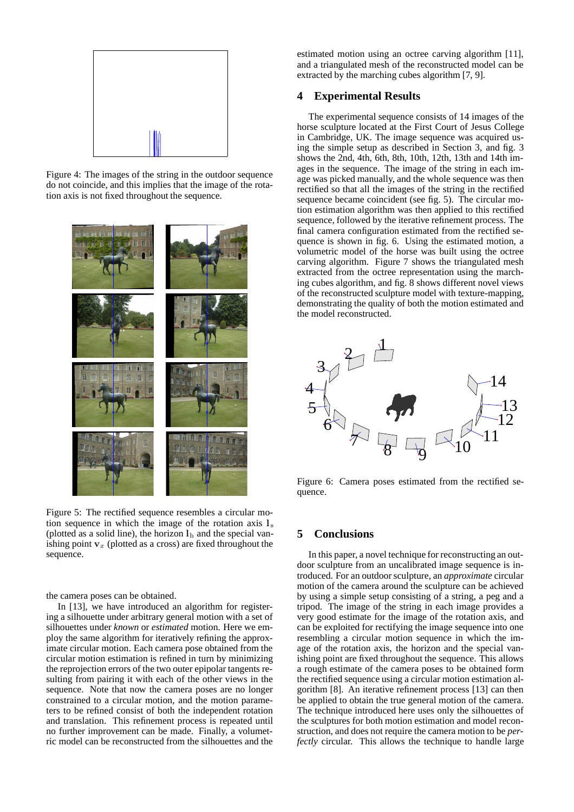

Figure 4: The images of the string in the outdoor sequence do not coincide, and this implies that the image of the rotation axis is not fixed throughout the sequence.



Figure 5: The rectified sequence resembles a circular motion sequence in which the image of the rotation axis  $l_s$ (plotted as a solid line), the horizon  $l<sub>h</sub>$  and the special vanishing point  $v<sub>x</sub>$  (plotted as a cross) are fixed throughout the sequence.

the camera poses can be obtained.

In [13], we have introduced an algorithm for registering a silhouette under arbitrary general motion with a set of silhouettes under *known* or *estimated* motion. Here we employ the same algorithm for iteratively refining the approximate circular motion. Each camera pose obtained from the circular motion estimation is refined in turn by minimizing the reprojection errors of the two outer epipolar tangents resulting from pairing it with each of the other views in the sequence. Note that now the camera poses are no longer constrained to a circular motion, and the motion parameters to be refined consist of both the independent rotation and translation. This refinement process is repeated until no further improvement can be made. Finally, a volumetric model can be reconstructed from the silhouettes and the estimated motion using an octree carving algorithm [11], and a triangulated mesh of the reconstructed model can be extracted by the marching cubes algorithm [7, 9].

## **4 Experimental Results**

The experimental sequence consists of 14 images of the horse sculpture located at the First Court of Jesus College in Cambridge, UK. The image sequence was acquired using the simple setup as described in Section 3, and fig. 3 shows the 2nd, 4th, 6th, 8th, 10th, 12th, 13th and 14th images in the sequence. The image of the string in each image was picked manually, and the whole sequence was then rectified so that all the images of the string in the rectified sequence became coincident (see fig. 5). The circular motion estimation algorithm was then applied to this rectified sequence, followed by the iterative refinement process. The final camera configuration estimated from the rectified sequence is shown in fig. 6. Using the estimated motion, a volumetric model of the horse was built using the octree carving algorithm. Figure 7 shows the triangulated mesh extracted from the octree representation using the marching cubes algorithm, and fig. 8 shows different novel views of the reconstructed sculpture model with texture-mapping, demonstrating the quality of both the motion estimated and the model reconstructed.



Figure 6: Camera poses estimated from the rectified sequence.

## **5 Conclusions**

In this paper, a novel technique for reconstructing an outdoor sculpture from an uncalibrated image sequence is introduced. For an outdoor sculpture, an *approximate* circular motion of the camera around the sculpture can be achieved by using a simple setup consisting of a string, a peg and a tripod. The image of the string in each image provides a very good estimate for the image of the rotation axis, and can be exploited for rectifying the image sequence into one resembling a circular motion sequence in which the image of the rotation axis, the horizon and the special vanishing point are fixed throughout the sequence. This allows a rough estimate of the camera poses to be obtained form the rectified sequence using a circular motion estimation algorithm [8]. An iterative refinement process [13] can then be applied to obtain the true general motion of the camera. The technique introduced here uses only the silhouettes of the sculptures for both motion estimation and model reconstruction, and does not require the camera motion to be *perfectly* circular. This allows the technique to handle large